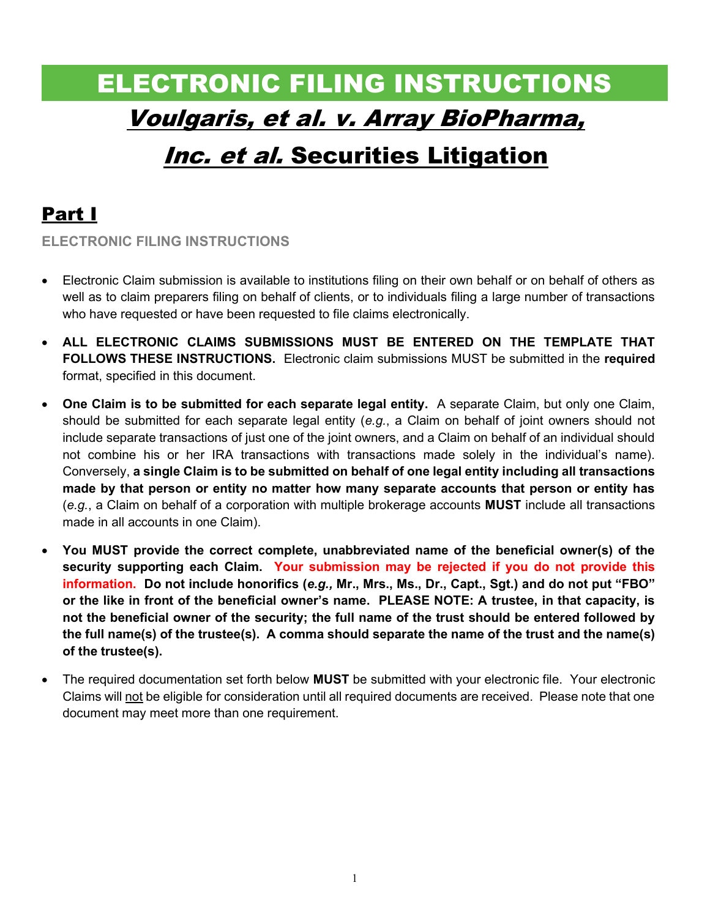# ELECTRONIC FILING INSTRUCTIONS Voulgaris, et al. v. Array BioPharma,

# Inc. et al. Securities Litigation

# Part I

ELECTRONIC FILING INSTRUCTIONS

- Electronic Claim submission is available to institutions filing on their own behalf or on behalf of others as well as to claim preparers filing on behalf of clients, or to individuals filing a large number of transactions who have requested or have been requested to file claims electronically.
- ALL ELECTRONIC CLAIMS SUBMISSIONS MUST BE ENTERED ON THE TEMPLATE THAT FOLLOWS THESE INSTRUCTIONS. Electronic claim submissions MUST be submitted in the required format, specified in this document.
- One Claim is to be submitted for each separate legal entity. A separate Claim, but only one Claim, should be submitted for each separate legal entity (e.g., a Claim on behalf of joint owners should not include separate transactions of just one of the joint owners, and a Claim on behalf of an individual should not combine his or her IRA transactions with transactions made solely in the individual's name). Conversely, a single Claim is to be submitted on behalf of one legal entity including all transactions made by that person or entity no matter how many separate accounts that person or entity has  $(e.g., a Claim on behalf of a corporation with multiple brokerage accounts **MUST** include all transactions$ made in all accounts in one Claim).
- You MUST provide the correct complete, unabbreviated name of the beneficial owner(s) of the security supporting each Claim. Your submission may be rejected if you do not provide this information. Do not include honorifics (e.g., Mr., Mrs., Ms., Dr., Capt., Sgt.) and do not put "FBO" or the like in front of the beneficial owner's name. PLEASE NOTE: A trustee, in that capacity, is not the beneficial owner of the security; the full name of the trust should be entered followed by the full name(s) of the trustee(s). A comma should separate the name of the trust and the name(s) of the trustee(s).
- The required documentation set forth below **MUST** be submitted with your electronic file. Your electronic Claims will not be eligible for consideration until all required documents are received. Please note that one document may meet more than one requirement.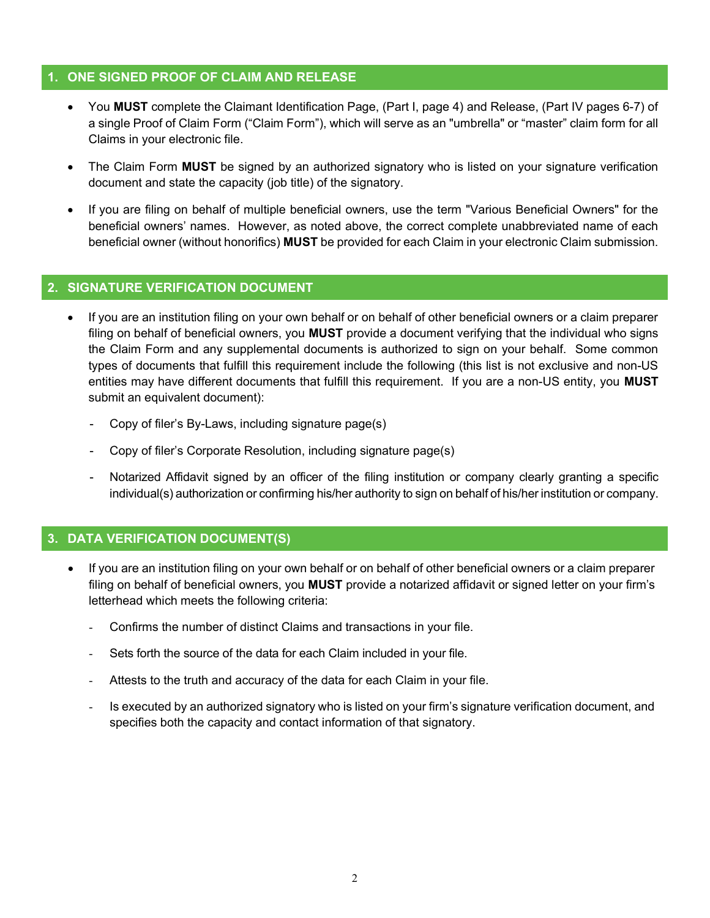#### 1. ONE SIGNED PROOF OF CLAIM AND RELEASE

- You MUST complete the Claimant Identification Page, (Part I, page 4) and Release, (Part IV pages 6-7) of a single Proof of Claim Form ("Claim Form"), which will serve as an "umbrella" or "master" claim form for all Claims in your electronic file.
- The Claim Form MUST be signed by an authorized signatory who is listed on your signature verification document and state the capacity (job title) of the signatory.
- If you are filing on behalf of multiple beneficial owners, use the term "Various Beneficial Owners" for the beneficial owners' names. However, as noted above, the correct complete unabbreviated name of each beneficial owner (without honorifics) MUST be provided for each Claim in your electronic Claim submission.

#### 2. SIGNATURE VERIFICATION DOCUMENT

- If you are an institution filing on your own behalf or on behalf of other beneficial owners or a claim preparer filing on behalf of beneficial owners, you **MUST** provide a document verifying that the individual who signs the Claim Form and any supplemental documents is authorized to sign on your behalf. Some common types of documents that fulfill this requirement include the following (this list is not exclusive and non-US entities may have different documents that fulfill this requirement. If you are a non-US entity, you MUST submit an equivalent document):
	- Copy of filer's By-Laws, including signature page(s)
	- Copy of filer's Corporate Resolution, including signature page(s)
	- Notarized Affidavit signed by an officer of the filing institution or company clearly granting a specific individual(s) authorization or confirming his/her authority to sign on behalf of his/her institution or company.

### 3. DATA VERIFICATION DOCUMENT(S)

- If you are an institution filing on your own behalf or on behalf of other beneficial owners or a claim preparer filing on behalf of beneficial owners, you MUST provide a notarized affidavit or signed letter on your firm's letterhead which meets the following criteria:
	- Confirms the number of distinct Claims and transactions in your file.
	- Sets forth the source of the data for each Claim included in your file.
	- Attests to the truth and accuracy of the data for each Claim in your file.
	- Is executed by an authorized signatory who is listed on your firm's signature verification document, and specifies both the capacity and contact information of that signatory.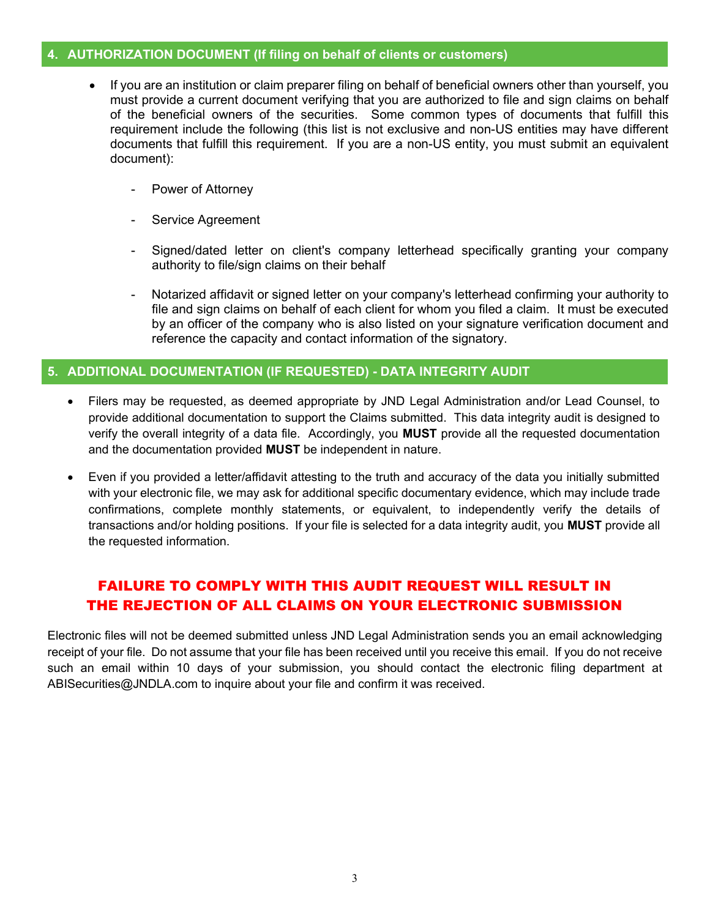#### 4. AUTHORIZATION DOCUMENT (If filing on behalf of clients or customers)

- If you are an institution or claim preparer filing on behalf of beneficial owners other than yourself, you must provide a current document verifying that you are authorized to file and sign claims on behalf of the beneficial owners of the securities. Some common types of documents that fulfill this requirement include the following (this list is not exclusive and non-US entities may have different documents that fulfill this requirement. If you are a non-US entity, you must submit an equivalent document):
	- Power of Attorney
	- Service Agreement
	- Signed/dated letter on client's company letterhead specifically granting your company authority to file/sign claims on their behalf
	- Notarized affidavit or signed letter on your company's letterhead confirming your authority to file and sign claims on behalf of each client for whom you filed a claim. It must be executed by an officer of the company who is also listed on your signature verification document and reference the capacity and contact information of the signatory.

#### 5. ADDITIONAL DOCUMENTATION (IF REQUESTED) - DATA INTEGRITY AUDIT

- Filers may be requested, as deemed appropriate by JND Legal Administration and/or Lead Counsel, to provide additional documentation to support the Claims submitted. This data integrity audit is designed to verify the overall integrity of a data file. Accordingly, you MUST provide all the requested documentation and the documentation provided MUST be independent in nature.
- Even if you provided a letter/affidavit attesting to the truth and accuracy of the data you initially submitted with your electronic file, we may ask for additional specific documentary evidence, which may include trade confirmations, complete monthly statements, or equivalent, to independently verify the details of transactions and/or holding positions. If your file is selected for a data integrity audit, you MUST provide all the requested information.

### FAILURE TO COMPLY WITH THIS AUDIT REQUEST WILL RESULT IN THE REJECTION OF ALL CLAIMS ON YOUR ELECTRONIC SUBMISSION

Electronic files will not be deemed submitted unless JND Legal Administration sends you an email acknowledging receipt of your file. Do not assume that your file has been received until you receive this email. If you do not receive such an email within 10 days of your submission, you should contact the electronic filing department at ABISecurities@JNDLA.com to inquire about your file and confirm it was received.